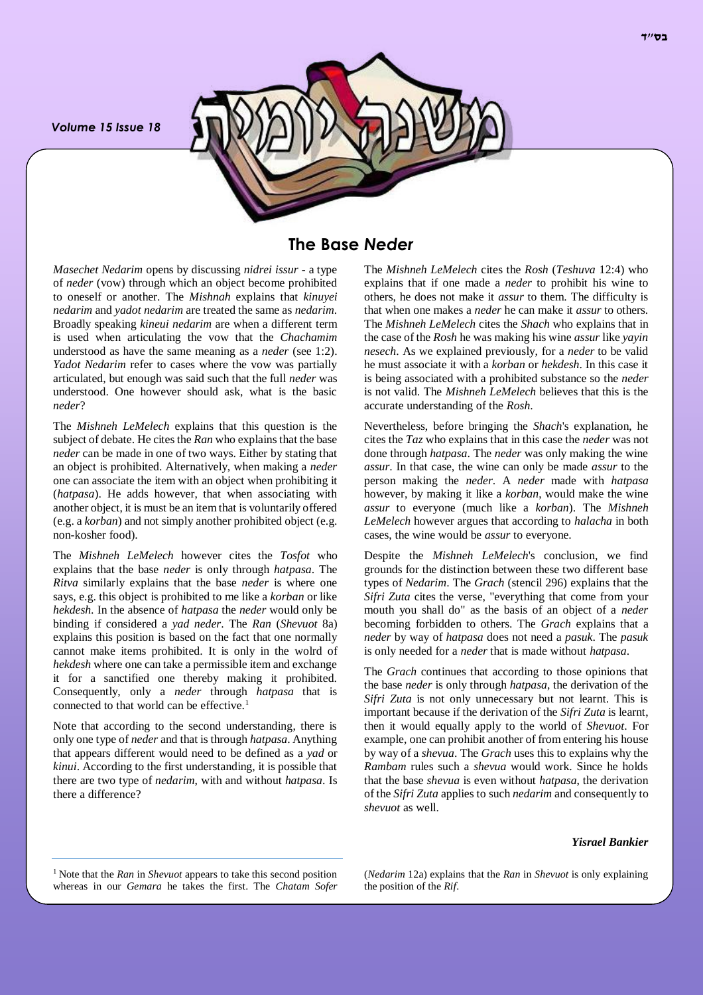*Volume 15 Issue 18*



# **The Base** *Neder*

*Masechet Nedarim* opens by discussing *nidrei issur* - a type of *neder* (vow) through which an object become prohibited to oneself or another. The *Mishnah* explains that *kinuyei nedarim* and *yadot nedarim* are treated the same as *nedarim*. Broadly speaking *kineui nedarim* are when a different term is used when articulating the vow that the *Chachamim* understood as have the same meaning as a *neder* (see 1:2). *Yadot Nedarim* refer to cases where the vow was partially articulated, but enough was said such that the full *neder* was understood. One however should ask, what is the basic *neder*?

The *Mishneh LeMelech* explains that this question is the subject of debate. He cites the *Ran* who explains that the base *neder* can be made in one of two ways. Either by stating that an object is prohibited. Alternatively, when making a *neder* one can associate the item with an object when prohibiting it (*hatpasa*). He adds however, that when associating with another object, it is must be an item that is voluntarily offered (e.g. a *korban*) and not simply another prohibited object (e.g. non-kosher food).

The *Mishneh LeMelech* however cites the *Tosfot* who explains that the base *neder* is only through *hatpasa*. The *Ritva* similarly explains that the base *neder* is where one says, e.g. this object is prohibited to me like a *korban* or like *hekdesh*. In the absence of *hatpasa* the *neder* would only be binding if considered a *yad neder*. The *Ran* (*Shevuot* 8a) explains this position is based on the fact that one normally cannot make items prohibited. It is only in the wolrd of *hekdesh* where one can take a permissible item and exchange it for a sanctified one thereby making it prohibited. Consequently, only a *neder* through *hatpasa* that is connected to that world can be effective.<sup>1</sup>

Note that according to the second understanding, there is only one type of *neder* and that is through *hatpasa*. Anything that appears different would need to be defined as a *yad* or *kinui*. According to the first understanding, it is possible that there are two type of *nedarim*, with and without *hatpasa*. Is there a difference?

The *Mishneh LeMelech* cites the *Rosh* (*Teshuva* 12:4) who explains that if one made a *neder* to prohibit his wine to others, he does not make it *assur* to them. The difficulty is that when one makes a *neder* he can make it *assur* to others. The *Mishneh LeMelech* cites the *Shach* who explains that in the case of the *Rosh* he was making his wine *assur* like *yayin nesech*. As we explained previously, for a *neder* to be valid he must associate it with a *korban* or *hekdesh*. In this case it is being associated with a prohibited substance so the *neder* is not valid. The *Mishneh LeMelech* believes that this is the accurate understanding of the *Rosh*.

Nevertheless, before bringing the *Shach*'s explanation, he cites the *Taz* who explains that in this case the *neder* was not done through *hatpasa*. The *neder* was only making the wine *assur*. In that case, the wine can only be made *assur* to the person making the *neder*. A *neder* made with *hatpasa* however, by making it like a *korban*, would make the wine *assur* to everyone (much like a *korban*). The *Mishneh LeMelech* however argues that according to *halacha* in both cases, the wine would be *assur* to everyone.

Despite the *Mishneh LeMelech*'s conclusion, we find grounds for the distinction between these two different base types of *Nedarim*. The *Grach* (stencil 296) explains that the *Sifri Zuta* cites the verse, "everything that come from your mouth you shall do" as the basis of an object of a *neder* becoming forbidden to others. The *Grach* explains that a *neder* by way of *hatpasa* does not need a *pasuk*. The *pasuk* is only needed for a *neder* that is made without *hatpasa*.

The *Grach* continues that according to those opinions that the base *neder* is only through *hatpasa*, the derivation of the *Sifri Zuta* is not only unnecessary but not learnt. This is important because if the derivation of the *Sifri Zuta* is learnt, then it would equally apply to the world of *Shevuot*. For example, one can prohibit another of from entering his house by way of a *shevua*. The *Grach* uses this to explains why the *Rambam* rules such a *shevua* would work. Since he holds that the base *shevua* is even without *hatpasa*, the derivation of the *Sifri Zuta* applies to such *nedarim* and consequently to *shevuot* as well.

#### *Yisrael Bankier*

<sup>1</sup> Note that the *Ran* in *Shevuot* appears to take this second position whereas in our *Gemara* he takes the first. The *Chatam Sofer*

(*Nedarim* 12a) explains that the *Ran* in *Shevuot* is only explaining the position of the *Rif*.